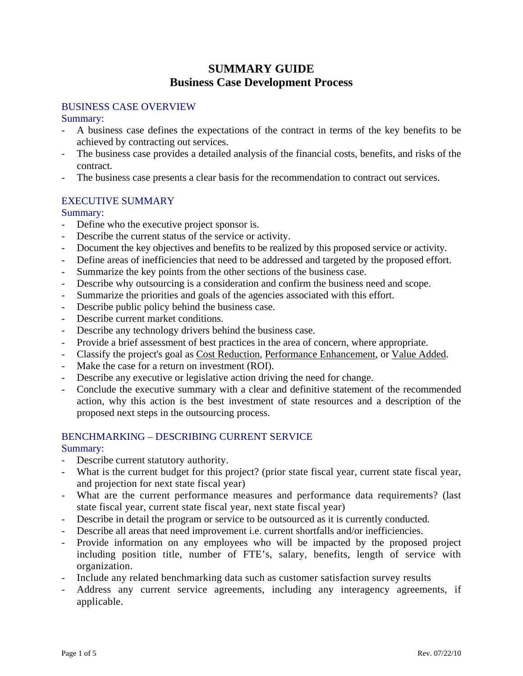# **SUMMARY GUIDE Business Case Development Process**

### BUSINESS CASE OVERVIEW

### Summary:

- A business case defines the expectations of the contract in terms of the key benefits to be achieved by contracting out services.
- The business case provides a detailed analysis of the financial costs, benefits, and risks of the contract.
- The business case presents a clear basis for the recommendation to contract out services.

## EXECUTIVE SUMMARY

### Summary:

- Define who the executive project sponsor is.
- Describe the current status of the service or activity.
- Document the key objectives and benefits to be realized by this proposed service or activity.
- Define areas of inefficiencies that need to be addressed and targeted by the proposed effort.
- Summarize the key points from the other sections of the business case.
- Describe why outsourcing is a consideration and confirm the business need and scope.
- Summarize the priorities and goals of the agencies associated with this effort.
- Describe public policy behind the business case.
- Describe current market conditions.
- Describe any technology drivers behind the business case.
- Provide a brief assessment of best practices in the area of concern, where appropriate.
- Classify the project's goal as Cost Reduction, Performance Enhancement, or Value Added.
- Make the case for a return on investment (ROI).
- Describe any executive or legislative action driving the need for change.
- Conclude the executive summary with a clear and definitive statement of the recommended action, why this action is the best investment of state resources and a description of the proposed next steps in the outsourcing process.

## BENCHMARKING – DESCRIBING CURRENT SERVICE

- Describe current statutory authority.
- What is the current budget for this project? (prior state fiscal year, current state fiscal year, and projection for next state fiscal year)
- What are the current performance measures and performance data requirements? (last state fiscal year, current state fiscal year, next state fiscal year)
- Describe in detail the program or service to be outsourced as it is currently conducted.
- Describe all areas that need improvement i.e. current shortfalls and/or inefficiencies.
- Provide information on any employees who will be impacted by the proposed project including position title, number of FTE's, salary, benefits, length of service with organization.
- Include any related benchmarking data such as customer satisfaction survey results
- Address any current service agreements, including any interagency agreements, if applicable.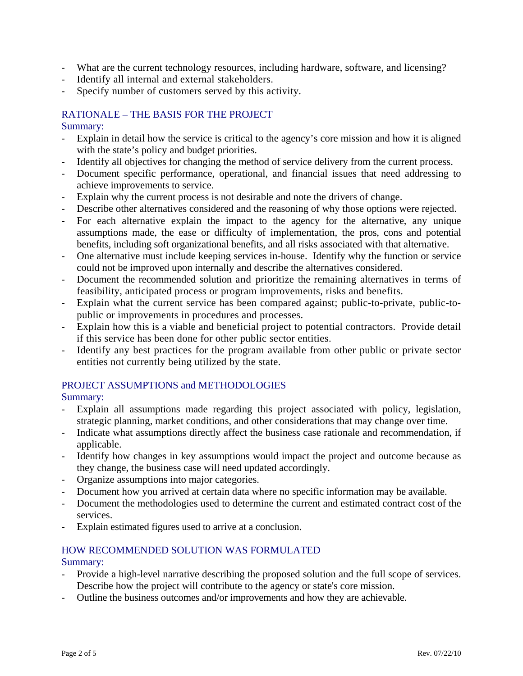- What are the current technology resources, including hardware, software, and licensing?
- Identify all internal and external stakeholders.
- Specify number of customers served by this activity.

## RATIONALE – THE BASIS FOR THE PROJECT

#### Summary:

- Explain in detail how the service is critical to the agency's core mission and how it is aligned with the state's policy and budget priorities.
- Identify all objectives for changing the method of service delivery from the current process.
- Document specific performance, operational, and financial issues that need addressing to achieve improvements to service.
- Explain why the current process is not desirable and note the drivers of change.
- Describe other alternatives considered and the reasoning of why those options were rejected.
- For each alternative explain the impact to the agency for the alternative, any unique assumptions made, the ease or difficulty of implementation, the pros, cons and potential benefits, including soft organizational benefits, and all risks associated with that alternative.
- One alternative must include keeping services in-house. Identify why the function or service could not be improved upon internally and describe the alternatives considered.
- Document the recommended solution and prioritize the remaining alternatives in terms of feasibility, anticipated process or program improvements, risks and benefits.
- Explain what the current service has been compared against; public-to-private, public-topublic or improvements in procedures and processes.
- Explain how this is a viable and beneficial project to potential contractors. Provide detail if this service has been done for other public sector entities.
- Identify any best practices for the program available from other public or private sector entities not currently being utilized by the state.

### PROJECT ASSUMPTIONS and METHODOLOGIES

Summary:

- Explain all assumptions made regarding this project associated with policy, legislation, strategic planning, market conditions, and other considerations that may change over time.
- Indicate what assumptions directly affect the business case rationale and recommendation, if applicable.
- Identify how changes in key assumptions would impact the project and outcome because as they change, the business case will need updated accordingly.
- Organize assumptions into major categories.
- Document how you arrived at certain data where no specific information may be available.
- Document the methodologies used to determine the current and estimated contract cost of the services.
- Explain estimated figures used to arrive at a conclusion.

## HOW RECOMMENDED SOLUTION WAS FORMULATED

- Provide a high-level narrative describing the proposed solution and the full scope of services. Describe how the project will contribute to the agency or state's core mission.
- Outline the business outcomes and/or improvements and how they are achievable.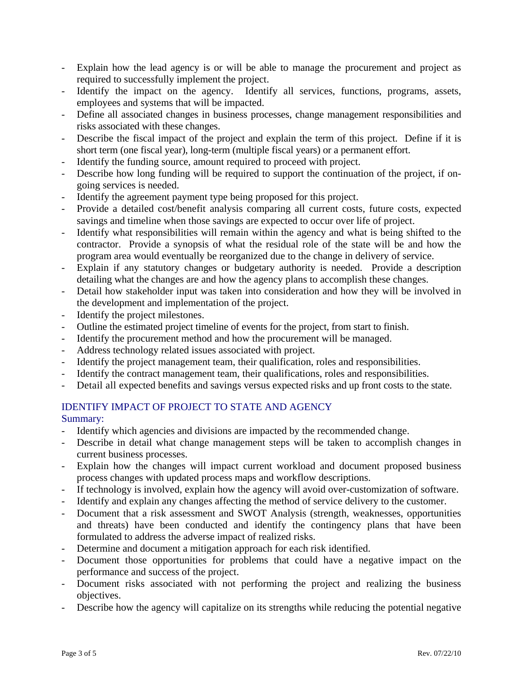- Explain how the lead agency is or will be able to manage the procurement and project as required to successfully implement the project.
- Identify the impact on the agency. Identify all services, functions, programs, assets, employees and systems that will be impacted.
- Define all associated changes in business processes, change management responsibilities and risks associated with these changes.
- Describe the fiscal impact of the project and explain the term of this project. Define if it is short term (one fiscal year), long-term (multiple fiscal years) or a permanent effort.
- Identify the funding source, amount required to proceed with project.
- Describe how long funding will be required to support the continuation of the project, if ongoing services is needed.
- Identify the agreement payment type being proposed for this project.
- Provide a detailed cost/benefit analysis comparing all current costs, future costs, expected savings and timeline when those savings are expected to occur over life of project.
- Identify what responsibilities will remain within the agency and what is being shifted to the contractor. Provide a synopsis of what the residual role of the state will be and how the program area would eventually be reorganized due to the change in delivery of service.
- Explain if any statutory changes or budgetary authority is needed. Provide a description detailing what the changes are and how the agency plans to accomplish these changes.
- Detail how stakeholder input was taken into consideration and how they will be involved in the development and implementation of the project.
- Identify the project milestones.
- Outline the estimated project timeline of events for the project, from start to finish.
- Identify the procurement method and how the procurement will be managed.
- Address technology related issues associated with project.
- Identify the project management team, their qualification, roles and responsibilities.
- Identify the contract management team, their qualifications, roles and responsibilities.
- Detail all expected benefits and savings versus expected risks and up front costs to the state.

## IDENTIFY IMPACT OF PROJECT TO STATE AND AGENCY

- Identify which agencies and divisions are impacted by the recommended change.
- Describe in detail what change management steps will be taken to accomplish changes in current business processes.
- Explain how the changes will impact current workload and document proposed business process changes with updated process maps and workflow descriptions.
- If technology is involved, explain how the agency will avoid over-customization of software.
- Identify and explain any changes affecting the method of service delivery to the customer.
- Document that a risk assessment and SWOT Analysis (strength, weaknesses, opportunities and threats) have been conducted and identify the contingency plans that have been formulated to address the adverse impact of realized risks.
- Determine and document a mitigation approach for each risk identified.
- Document those opportunities for problems that could have a negative impact on the performance and success of the project.
- Document risks associated with not performing the project and realizing the business objectives.
- Describe how the agency will capitalize on its strengths while reducing the potential negative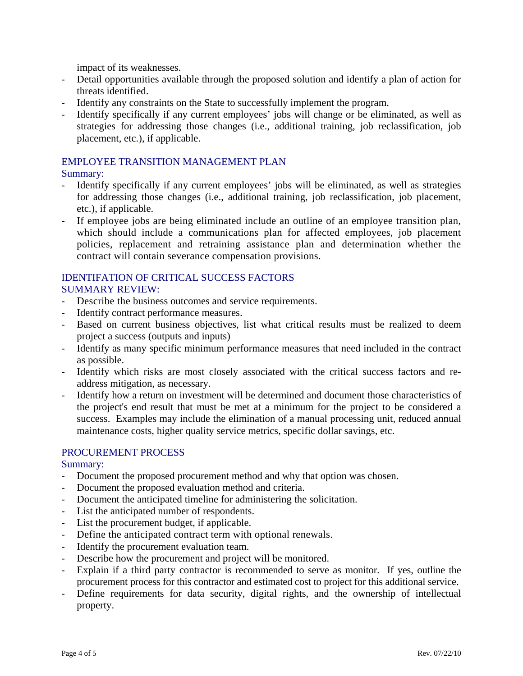impact of its weaknesses.

- Detail opportunities available through the proposed solution and identify a plan of action for threats identified.
- Identify any constraints on the State to successfully implement the program.
- Identify specifically if any current employees' jobs will change or be eliminated, as well as strategies for addressing those changes (i.e., additional training, job reclassification, job placement, etc.), if applicable.

## EMPLOYEE TRANSITION MANAGEMENT PLAN

### Summary:

- Identify specifically if any current employees' jobs will be eliminated, as well as strategies for addressing those changes (i.e., additional training, job reclassification, job placement, etc.), if applicable.
- If employee jobs are being eliminated include an outline of an employee transition plan, which should include a communications plan for affected employees, job placement policies, replacement and retraining assistance plan and determination whether the contract will contain severance compensation provisions.

#### IDENTIFATION OF CRITICAL SUCCESS FACTORS SUMMARY REVIEW:

- Describe the business outcomes and service requirements.
- Identify contract performance measures.
- Based on current business objectives, list what critical results must be realized to deem project a success (outputs and inputs)
- Identify as many specific minimum performance measures that need included in the contract as possible.
- Identify which risks are most closely associated with the critical success factors and readdress mitigation, as necessary.
- Identify how a return on investment will be determined and document those characteristics of the project's end result that must be met at a minimum for the project to be considered a success. Examples may include the elimination of a manual processing unit, reduced annual maintenance costs, higher quality service metrics, specific dollar savings, etc.

### PROCUREMENT PROCESS

- Document the proposed procurement method and why that option was chosen.
- Document the proposed evaluation method and criteria.
- Document the anticipated timeline for administering the solicitation.
- List the anticipated number of respondents.
- List the procurement budget, if applicable.
- Define the anticipated contract term with optional renewals.
- Identify the procurement evaluation team.
- Describe how the procurement and project will be monitored.
- Explain if a third party contractor is recommended to serve as monitor. If yes, outline the procurement process for this contractor and estimated cost to project for this additional service.
- Define requirements for data security, digital rights, and the ownership of intellectual property.